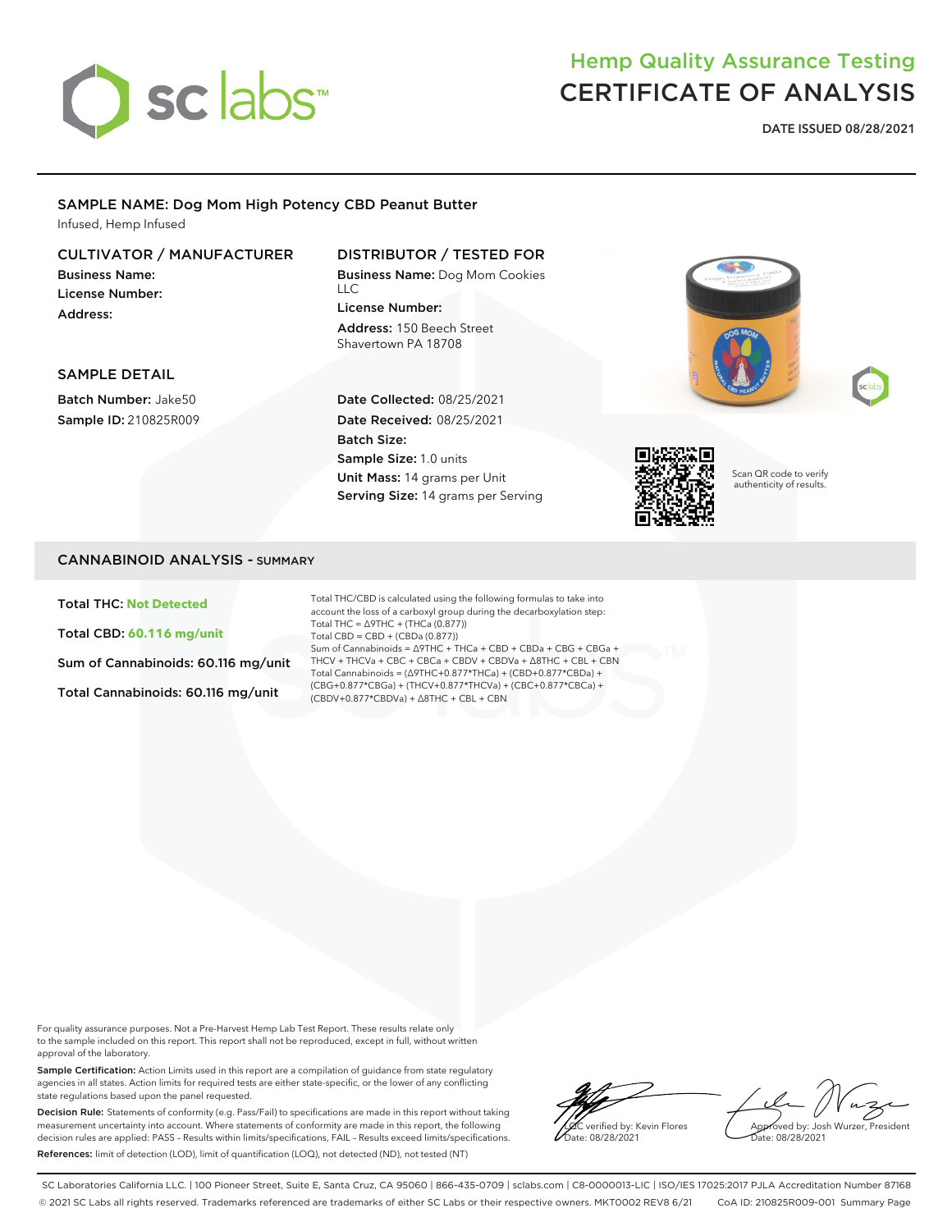

# Hemp Quality Assurance Testing CERTIFICATE OF ANALYSIS

**DATE ISSUED 08/28/2021**

#### SAMPLE NAME: Dog Mom High Potency CBD Peanut Butter Infused, Hemp Infused

#### CULTIVATOR / MANUFACTURER

Business Name: License Number: Address:

### DISTRIBUTOR / TESTED FOR

Business Name: Dog Mom Cookies  $\sqcup$  C License Number: Address: 150 Beech Street Shavertown PA 18708

Date Collected: 08/25/2021 Date Received: 08/25/2021

Sample Size: 1.0 units Unit Mass: 14 grams per Unit Serving Size: 14 grams per Serving

Batch Size:





Scan QR code to verify authenticity of results.

#### SAMPLE DETAIL

Batch Number: Jake50 Sample ID: 210825R009

#### CANNABINOID ANALYSIS - SUMMARY

#### Total THC: **Not Detected**

Total CBD: **60.116 mg/unit**

Sum of Cannabinoids: 60.116 mg/unit

Total Cannabinoids: 60.116 mg/unit

Total THC/CBD is calculated using the following formulas to take into account the loss of a carboxyl group during the decarboxylation step: Total THC = ∆9THC + (THCa (0.877)) Total CBD = CBD + (CBDa (0.877)) Sum of Cannabinoids = ∆9THC + THCa + CBD + CBDa + CBG + CBGa + THCV + THCVa + CBC + CBCa + CBDV + CBDVa + ∆8THC + CBL + CBN Total Cannabinoids = (∆9THC+0.877\*THCa) + (CBD+0.877\*CBDa) + (CBG+0.877\*CBGa) + (THCV+0.877\*THCVa) + (CBC+0.877\*CBCa) + (CBDV+0.877\*CBDVa) + ∆8THC + CBL + CBN

For quality assurance purposes. Not a Pre-Harvest Hemp Lab Test Report. These results relate only to the sample included on this report. This report shall not be reproduced, except in full, without written approval of the laboratory.

Sample Certification: Action Limits used in this report are a compilation of guidance from state regulatory agencies in all states. Action limits for required tests are either state-specific, or the lower of any conflicting state regulations based upon the panel requested.

Decision Rule: Statements of conformity (e.g. Pass/Fail) to specifications are made in this report without taking measurement uncertainty into account. Where statements of conformity are made in this report, the following decision rules are applied: PASS – Results within limits/specifications, FAIL – Results exceed limits/specifications. References: limit of detection (LOD), limit of quantification (LOQ), not detected (ND), not tested (NT)

verified by: Kevin Flores Date: 08/28/2021

Approved by: Josh Wurzer, President Date: 08/28/2021

SC Laboratories California LLC. | 100 Pioneer Street, Suite E, Santa Cruz, CA 95060 | 866-435-0709 | sclabs.com | C8-0000013-LIC | ISO/IES 17025:2017 PJLA Accreditation Number 87168 © 2021 SC Labs all rights reserved. Trademarks referenced are trademarks of either SC Labs or their respective owners. MKT0002 REV8 6/21 CoA ID: 210825R009-001 Summary Page